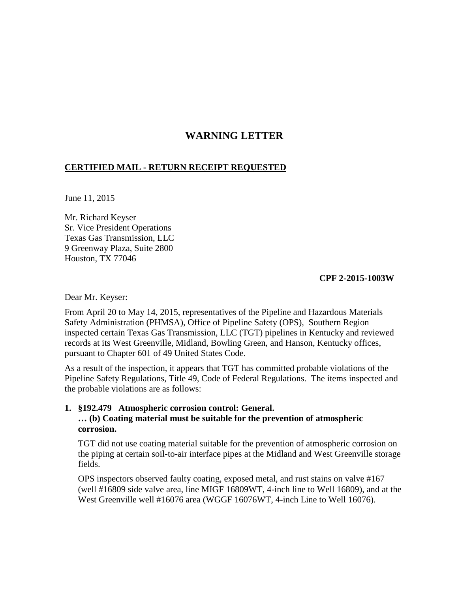## **WARNING LETTER**

## **CERTIFIED MAIL - RETURN RECEIPT REQUESTED**

June 11, 2015

Mr. Richard Keyser Sr. Vice President Operations Texas Gas Transmission, LLC 9 Greenway Plaza, Suite 2800 Houston, TX 77046

**CPF 2-2015-1003W** 

Dear Mr. Keyser:

From April 20 to May 14, 2015, representatives of the Pipeline and Hazardous Materials Safety Administration (PHMSA), Office of Pipeline Safety (OPS), Southern Region inspected certain Texas Gas Transmission, LLC (TGT) pipelines in Kentucky and reviewed records at its West Greenville, Midland, Bowling Green, and Hanson, Kentucky offices, pursuant to Chapter 601 of 49 United States Code.

As a result of the inspection, it appears that TGT has committed probable violations of the Pipeline Safety Regulations, Title 49, Code of Federal Regulations. The items inspected and the probable violations are as follows:

## **1. §192.479 Atmospheric corrosion control: General. … (b) Coating material must be suitable for the prevention of atmospheric corrosion.**

TGT did not use coating material suitable for the prevention of atmospheric corrosion on the piping at certain soil-to-air interface pipes at the Midland and West Greenville storage fields.

OPS inspectors observed faulty coating, exposed metal, and rust stains on valve #167 (well #16809 side valve area, line MIGF 16809WT, 4-inch line to Well 16809), and at the West Greenville well #16076 area (WGGF 16076WT, 4-inch Line to Well 16076).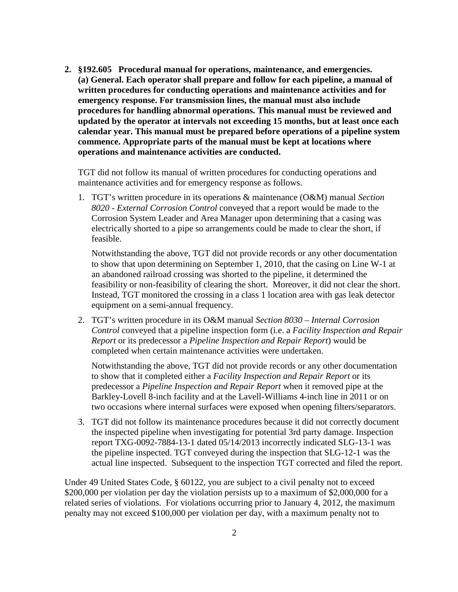**2. §192.605 Procedural manual for operations, maintenance, and emergencies. (a) General. Each operator shall prepare and follow for each pipeline, a manual of written procedures for conducting operations and maintenance activities and for emergency response. For transmission lines, the manual must also include procedures for handling abnormal operations. This manual must be reviewed and updated by the operator at intervals not exceeding 15 months, but at least once each calendar year. This manual must be prepared before operations of a pipeline system commence. Appropriate parts of the manual must be kept at locations where operations and maintenance activities are conducted.** 

TGT did not follow its manual of written procedures for conducting operations and maintenance activities and for emergency response as follows.

1. TGT's written procedure in its operations & maintenance (O&M) manual *Section 8020 - External Corrosion Control* conveyed that a report would be made to the Corrosion System Leader and Area Manager upon determining that a casing was electrically shorted to a pipe so arrangements could be made to clear the short, if feasible.

Notwithstanding the above, TGT did not provide records or any other documentation to show that upon determining on September 1, 2010, that the casing on Line W-1 at an abandoned railroad crossing was shorted to the pipeline, it determined the feasibility or non-feasibility of clearing the short. Moreover, it did not clear the short. Instead, TGT monitored the crossing in a class 1 location area with gas leak detector equipment on a semi-annual frequency.

2. TGT's written procedure in its O&M manual *Section 8030 – Internal Corrosion Control* conveyed that a pipeline inspection form (i.e. a *Facility Inspection and Repair Report* or its predecessor a *Pipeline Inspection and Repair Report*) would be completed when certain maintenance activities were undertaken.

Notwithstanding the above, TGT did not provide records or any other documentation to show that it completed either a *Facility Inspection and Repair Report* or its predecessor a *Pipeline Inspection and Repair Report* when it removed pipe at the Barkley-Lovell 8-inch facility and at the Lavell-Williams 4-inch line in 2011 or on two occasions where internal surfaces were exposed when opening filters/separators.

3. TGT did not follow its maintenance procedures because it did not correctly document the inspected pipeline when investigating for potential 3rd party damage. Inspection report TXG-0092-7884-13-1 dated 05/14/2013 incorrectly indicated SLG-13-1 was the pipeline inspected. TGT conveyed during the inspection that SLG-12-1 was the actual line inspected. Subsequent to the inspection TGT corrected and filed the report.

Under 49 United States Code, § 60122, you are subject to a civil penalty not to exceed \$200,000 per violation per day the violation persists up to a maximum of \$2,000,000 for a related series of violations. For violations occurring prior to January 4, 2012, the maximum penalty may not exceed \$100,000 per violation per day, with a maximum penalty not to